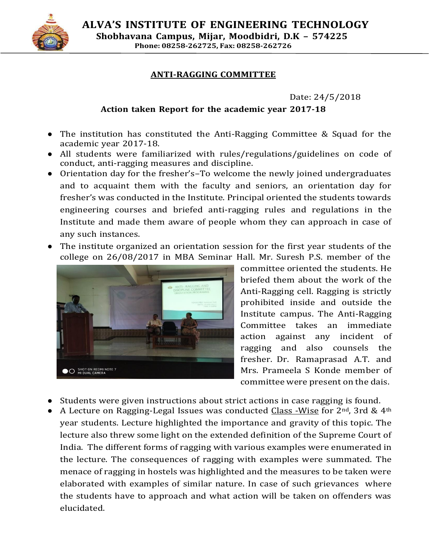

**ALVA'S INSTITUTE OF ENGINEERING TECHNOLOGY Shobhavana Campus, Mijar, Moodbidri, D.K – 574225 Phone: 08258-262725, Fax: 08258-262726**

## **ANTI-RAGGING COMMITTEE**

Date: 24/5/2018

## **Action taken Report for the academic year 2017-18**

- The institution has constituted the Anti-Ragging Committee & Squad for the academic year 2017-18.
- All students were familiarized with rules/regulations/guidelines on code of conduct, anti-ragging measures and discipline.
- Orientation day for the fresher's–To welcome the newly joined undergraduates and to acquaint them with the faculty and seniors, an orientation day for fresher's was conducted in the Institute. Principal oriented the students towards engineering courses and briefed anti-ragging rules and regulations in the Institute and made them aware of people whom they can approach in case of any such instances.
- The institute organized an orientation session for the first year students of the college on 26/08/2017 in MBA Seminar Hall. Mr. Suresh P.S. member of the



committee oriented the students. He briefed them about the work of the Anti-Ragging cell. Ragging is strictly prohibited inside and outside the Institute campus. The Anti-Ragging Committee takes an immediate action against any incident of ragging and also counsels the fresher. Dr. Ramaprasad A.T. and Mrs. Prameela S Konde member of committee were present on the dais.

- Students were given instructions about strict actions in case ragging is found.
- A Lecture on Ragging-Legal Issues was conducted Class -Wise for  $2<sup>nd</sup>$ , 3rd &  $4<sup>th</sup>$ year students. Lecture highlighted the importance and gravity of this topic. The lecture also threw some light on the extended definition of the Supreme Court of India. The different forms of ragging with various examples were enumerated in the lecture. The consequences of ragging with examples were summated. The menace of ragging in hostels was highlighted and the measures to be taken were elaborated with examples of similar nature. In case of such grievances where the students have to approach and what action will be taken on offenders was elucidated.